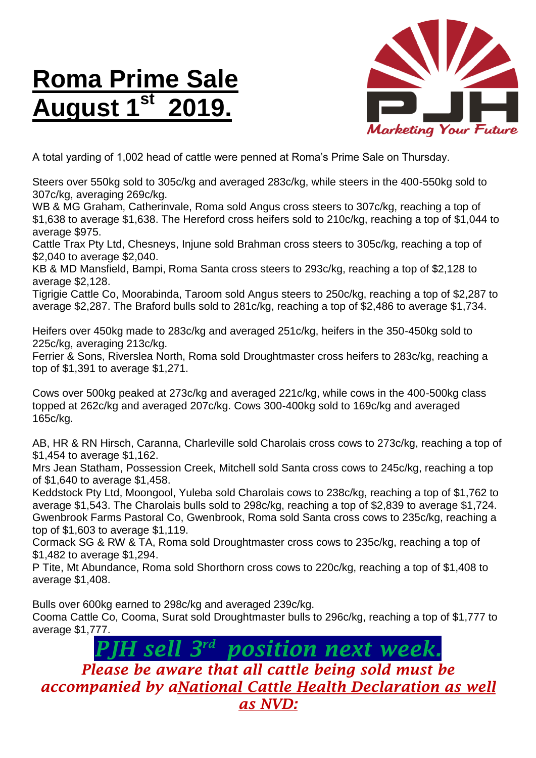## **Roma Prime Sale August 1st 2019.**



A total yarding of 1,002 head of cattle were penned at Roma's Prime Sale on Thursday.

Steers over 550kg sold to 305c/kg and averaged 283c/kg, while steers in the 400-550kg sold to 307c/kg, averaging 269c/kg.

WB & MG Graham, Catherinvale, Roma sold Angus cross steers to 307c/kg, reaching a top of \$1,638 to average \$1,638. The Hereford cross heifers sold to 210c/kg, reaching a top of \$1,044 to average \$975.

Cattle Trax Pty Ltd, Chesneys, Injune sold Brahman cross steers to 305c/kg, reaching a top of \$2,040 to average \$2,040.

KB & MD Mansfield, Bampi, Roma Santa cross steers to 293c/kg, reaching a top of \$2,128 to average \$2,128.

Tigrigie Cattle Co, Moorabinda, Taroom sold Angus steers to 250c/kg, reaching a top of \$2,287 to average \$2,287. The Braford bulls sold to 281c/kg, reaching a top of \$2,486 to average \$1,734.

Heifers over 450kg made to 283c/kg and averaged 251c/kg, heifers in the 350-450kg sold to 225c/kg, averaging 213c/kg.

Ferrier & Sons, Riverslea North, Roma sold Droughtmaster cross heifers to 283c/kg, reaching a top of \$1,391 to average \$1,271.

Cows over 500kg peaked at 273c/kg and averaged 221c/kg, while cows in the 400-500kg class topped at 262c/kg and averaged 207c/kg. Cows 300-400kg sold to 169c/kg and averaged 165c/kg.

AB, HR & RN Hirsch, Caranna, Charleville sold Charolais cross cows to 273c/kg, reaching a top of \$1,454 to average \$1,162.

Mrs Jean Statham, Possession Creek, Mitchell sold Santa cross cows to 245c/kg, reaching a top of \$1,640 to average \$1,458.

Keddstock Pty Ltd, Moongool, Yuleba sold Charolais cows to 238c/kg, reaching a top of \$1,762 to average \$1,543. The Charolais bulls sold to 298c/kg, reaching a top of \$2,839 to average \$1,724. Gwenbrook Farms Pastoral Co, Gwenbrook, Roma sold Santa cross cows to 235c/kg, reaching a top of \$1,603 to average \$1,119.

Cormack SG & RW & TA, Roma sold Droughtmaster cross cows to 235c/kg, reaching a top of \$1,482 to average \$1,294.

P Tite, Mt Abundance, Roma sold Shorthorn cross cows to 220c/kg, reaching a top of \$1,408 to average \$1,408.

Bulls over 600kg earned to 298c/kg and averaged 239c/kg.

Cooma Cattle Co, Cooma, Surat sold Droughtmaster bulls to 296c/kg, reaching a top of \$1,777 to average \$1,777.

> *PJH sell 3 rd position next week.*

*Please be aware that all cattle being sold must be accompanied by aNational Cattle Health Declaration as well as NVD:*